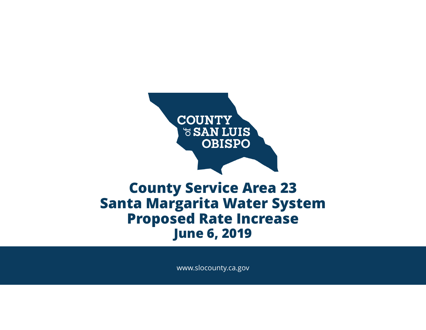

#### **County Service Area 23 Santa Margarita Water System Proposed Rate Increase June 6, 2019**

www.slocounty.ca.gov www.slocounty.ca.gov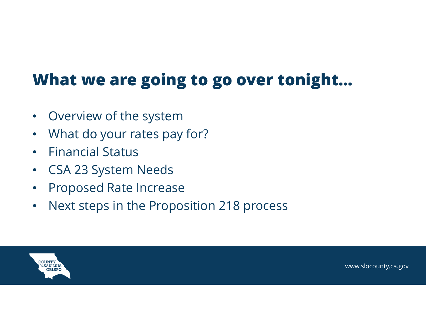# **What we are going to go over tonight…**

- •Overview of the system
- $\bullet$ What do your rates pay for?
- •Financial Status
- $\bullet$ CSA 23 System Needs
- $\bullet$ Proposed Rate Increase
- $\bullet$ Next steps in the Proposition 218 process

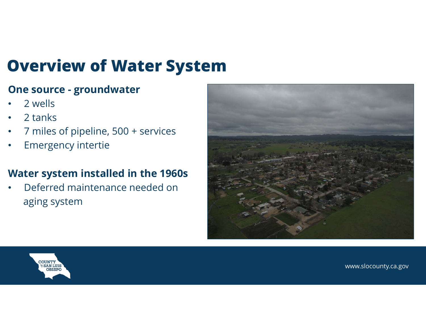#### **Overview of Water System**

#### **One source - groundwater**

- •• 2 wells
- •2 tanks
- •7 miles of pipeline, 500 + services
- •Emergency intertie

#### **Water system installed in the 1960s**

• Deferred maintenance needed on aging system



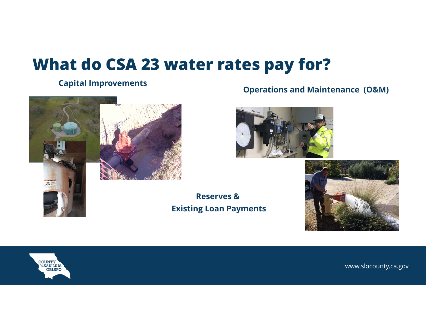#### **What do CSA 23 water rates pay for?**



#### **Operations and Maintenance (O&M) Capital Improvements**



**Reserves &Existing Loan Payments**



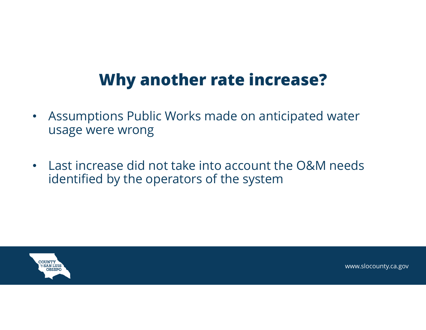# **Why another rate increase?**

- $\bullet$  Assumptions Public Works made on anticipated water usage were wrong
- • Last increase did not take into account the O&M needs identified by the operators of the system

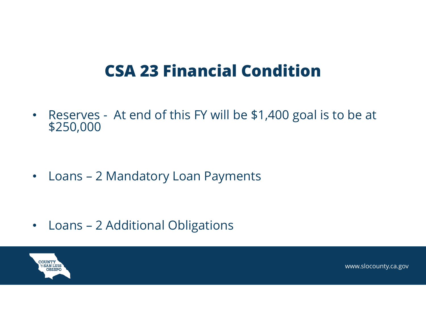# **CSA 23 Financial Condition**

 $\bullet$ Reserves - At end of this FY will be \$1,400 goal is to be at \$250,000

•Loans – 2 Mandatory Loan Payments

 $\bullet$ Loans – 2 Additional Obligations

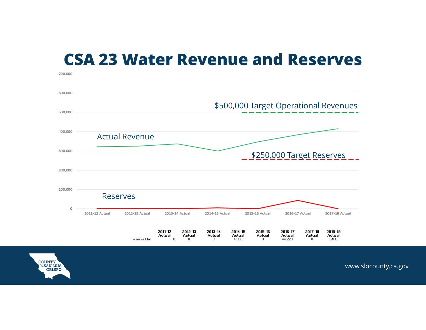#### **CSA 23 Water Revenue and Reserves**



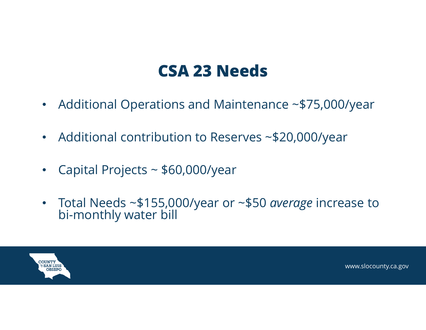## **CSA 23 Needs**

- •Additional Operations and Maintenance ~\$75,000/year
- $\bullet$ Additional contribution to Reserves ~\$20,000/year
- $\bullet$ Capital Projects ~ \$60,000/year
- Total Needs ~\$155,000/year or ~\$50 *average* increase to bi-monthly water bill

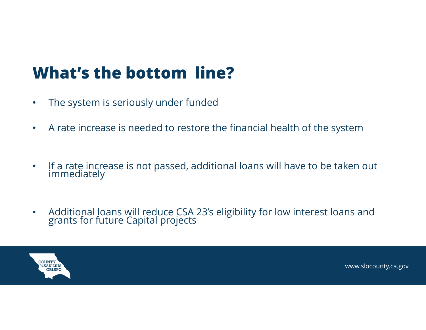# **What's the bottom line?**

- $\bullet$ The system is seriously under funded
- $\bullet$ A rate increase is needed to restore the financial health of the system
- $\bullet$ If a rate increase is not passed, additional loans will have to be taken out immediately
- •Additional loans will reduce CSA 23's eligibility for low interest loans and grants for future Capital projects

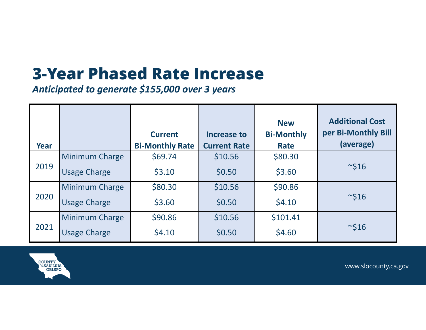# **3-Year Phased Rate Increase**

*Anticipated to generate \$155,000 over 3 years*

| <b>Year</b> |                       | <b>Current</b><br><b>Bi-Monthly Rate</b> | Increase to<br><b>Current Rate</b> | <b>New</b><br><b>Bi-Monthly</b><br>Rate | <b>Additional Cost</b><br>per Bi-Monthly Bill<br>(average) |
|-------------|-----------------------|------------------------------------------|------------------------------------|-----------------------------------------|------------------------------------------------------------|
| 2019        | <b>Minimum Charge</b> | \$69.74                                  | \$10.56                            | \$80.30                                 | $\sim$ \$16                                                |
|             | <b>Usage Charge</b>   | \$3.10                                   | \$0.50                             | \$3.60                                  |                                                            |
| 2020        | Minimum Charge        | \$80.30                                  | \$10.56                            | \$90.86                                 |                                                            |
|             | <b>Usage Charge</b>   | \$3.60                                   | \$0.50                             | \$4.10                                  | $~^{\sim}$ \$16                                            |
| 2021        | <b>Minimum Charge</b> | \$90.86                                  | \$10.56                            | \$101.41                                |                                                            |
|             | <b>Usage Charge</b>   | \$4.10                                   | \$0.50                             | \$4.60                                  | $~^{\sim}$ \$16                                            |

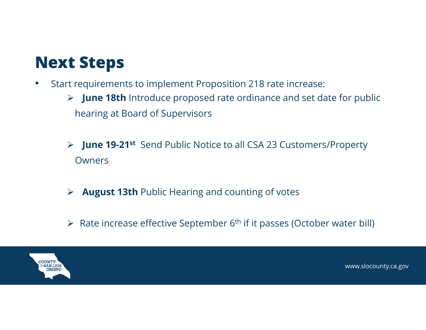#### **Next Steps**

- $\bullet$  Start requirements to implement Proposition 218 rate increase:
	- **June 18th** Introduce proposed rate ordinance and set date for public hearing at Board of Supervisors
	- $\blacktriangleright$  **June 19-21st** Send Public Notice to all CSA 23 Customers/Property **Owners**
	- $\blacktriangleright$ **August 13th** Public Hearing and counting of votes
	- $\triangleright$  Rate increase effective September 6<sup>th</sup> if it passes (October water bill)